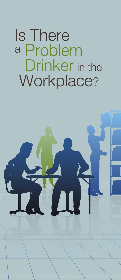Is There <sup>a</sup> Problem Drinker in the Workplace?

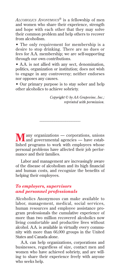*Alcoholics Anonymous®* is a fellowship of men and women who share their experience, strength and hope with each other that they may solve their common problem and help others to recover from alcoholism.

• The only requirement for membership is a desire to stop drinking. There are no dues or fees for A.A. membership; we are self-supporting through our own contributions.

• A.A. is not allied with any sect, denomination, politics, organization or institution; does not wish to engage in any controversy; neither endorses nor opposes any causes.

• Our primary purpose is to stay sober and help other alcoholics to achieve sobriety.

> *Copyright © by AA Grapevine, Inc.; reprinted with permission.*

**M**any organizations — corporations, unions and governmental agencies — have established programs to work with employees whose personal problems have affected their job performance and their families.

\_\_\_\_\_\_\_\_\_\_\_\_\_\_\_\_\_\_\_\_\_\_

Labor and management are increasingly aware of the disease of alcoholism and its high financial and human costs, and recognize the benefits of helping their employees.

# *To employers, supervisors and personnel professionals*

Alcoholics Anonymous can make available to labor, management, medical, social ser vices, human resources and employee assistance program professionals the cumulative experience of more than two million recovered alcoholics now living comfortable and productive lives without alcohol. A.A. is available in virtually every community with more than 66,000 groups in the United States and Canada alone.

A.A. can help organizations, corporations and businesses, regardless of size, contact men and women who have achieved sobriety, and are willing to share their experience freely with anyone who seeks help.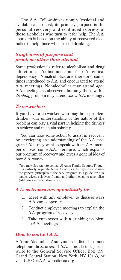The A.A. Fellowship is nonprofessional and available at no cost; its primary purpose is the personal recovery and continued sobriety of those alcoholics who turn to it for help. The A.A. approach is based on the ability of recovered alcoholics to help those who are still drinking.

## *Singleness of purpose and problems other than alcohol*

Some professionals refer to alcoholism and drug addiction as "substance abuse" or "chemical dependency." Nonalcoholics are, therefore, sometimes introduced to A.A. and encouraged to attend A.A. meetings. Nonalcoholics may attend *open*  A.A. meetings as observers, but only those with a *drinking* problem may attend *closed* A.A. meetings.

#### *To co-workers*

If you have a co-worker who may be a problem drinker, your understanding of the nature of the problem can play a vital part in helping the drinker to achieve and maintain sobriety.

You can take some action to assist in recovery by developing an understanding of the A.A. program.\* You may want to speak with an A.A. member or read some A.A. literature, which explains our program of recovery and gives a general idea of how A.A. works.

\*You may also want to contact Al-Anon Family Groups. Though it is entirely separate from Alcoholics Anonymous, it uses the general principles of the A.A. program as a guide for husbands, wives, relatives, friends and others close to alcoholics. (Al-Anon's website: al-anon.org)

#### *A.A. welcomes any opportunity to:*

- 1. Meet with any employer to discuss ways A.A. can cooperate.
- 2. Conduct employee meetings to explain the A.A. program of recovery.
- 3. Take employees with a drinking problem to A.A. meetings.

#### *How to contact A.A.*

A.A. or Alcoholics Anonymous is listed in most telephone directories. If A.A. is not listed, please write to the General Service Office, Box 459, Grand Central Station, New York, NY 10163, or visit G.S.O.'s A.A. website: aa.org.